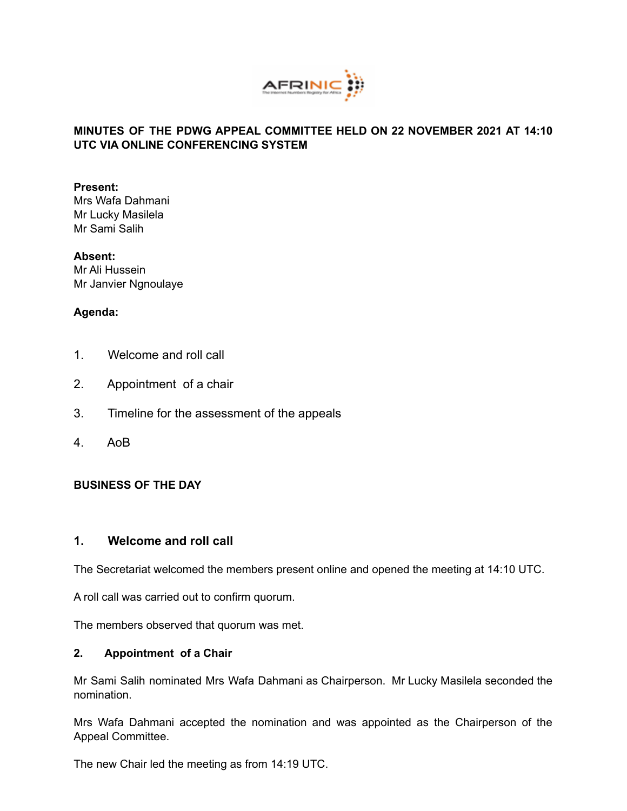

### **MINUTES OF THE PDWG APPEAL COMMITTEE HELD ON 22 NOVEMBER 2021 AT 14:10 UTC VIA ONLINE CONFERENCING SYSTEM**

#### **Present:**

Mrs Wafa Dahmani Mr Lucky Masilela Mr Sami Salih

### **Absent:**

Mr Ali Hussein Mr Janvier Ngnoulaye

# **Agenda:**

- 1. Welcome and roll call
- 2. Appointment of a chair
- 3. Timeline for the assessment of the appeals
- 4. AoB

### **BUSINESS OF THE DAY**

# **1. Welcome and roll call**

The Secretariat welcomed the members present online and opened the meeting at 14:10 UTC.

A roll call was carried out to confirm quorum.

The members observed that quorum was met.

### **2. Appointment of a Chair**

Mr Sami Salih nominated Mrs Wafa Dahmani as Chairperson. Mr Lucky Masilela seconded the nomination.

Mrs Wafa Dahmani accepted the nomination and was appointed as the Chairperson of the Appeal Committee.

The new Chair led the meeting as from 14:19 UTC.